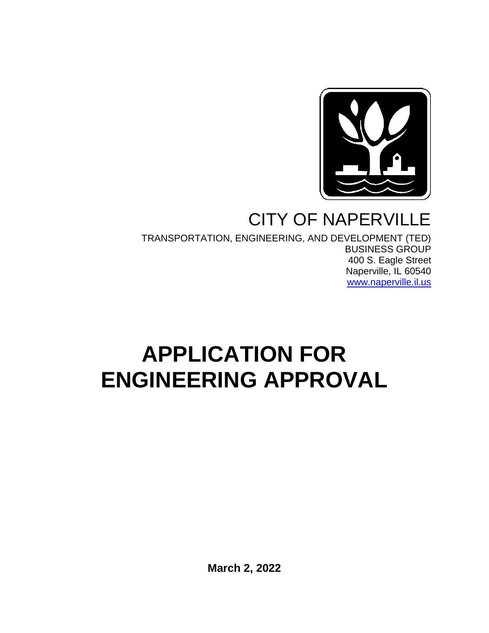

## CITY OF NAPERVILLE

TRANSPORTATION, ENGINEERING, AND DEVELOPMENT (TED) BUSINESS GROUP 400 S. Eagle Street Naperville, IL 60540 [www.naperville.il.us](http://www.naperville.il.us/)

# **APPLICATION FOR ENGINEERING APPROVAL**

**March 2, 2022**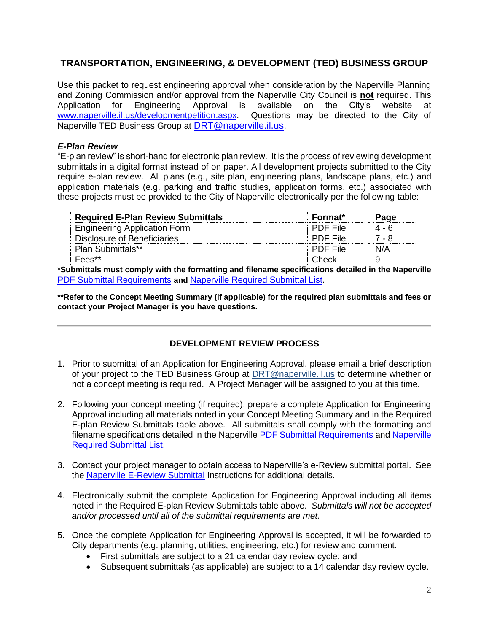### **TRANSPORTATION, ENGINEERING, & DEVELOPMENT (TED) BUSINESS GROUP**

Use this packet to request engineering approval when consideration by the Naperville Planning and Zoning Commission and/or approval from the Naperville City Council is **not** required. This Application for Engineering Approval is available on the City's website at www.naperville.il.us/developmentpetition.aspx. Questions may be directed to the City of [www.naperville.il.us/developmentpetition.aspx.](http://www.naperville.il.us/developmentpetition.aspx) Naperville TED Business Group at [DRT@naperville.il.us](mailto:DRT@naperville.il.us).

### *E-Plan Review*

"E-plan review" is short-hand for electronic plan review. It is the process of reviewing development submittals in a digital format instead of on paper. All development projects submitted to the City require e-plan review. All plans (e.g., site plan, engineering plans, landscape plans, etc.) and application materials (e.g. parking and traffic studies, application forms, etc.) associated with these projects must be provided to the City of Naperville electronically per the following table:

| <b>Required E-Plan Review Submittals</b> | <b>Format*</b>  | Page  |
|------------------------------------------|-----------------|-------|
| <b>Engineering Application Form</b>      | <b>PDE File</b> | 4 - 6 |
| Disclosure of Beneficiaries              | <b>PDF File</b> | 7 - 8 |
| <b>Plan Submittals**</b>                 | <b>PDF File</b> | N/A   |
| Fees**                                   | Check           |       |

**\*Submittals must comply with the formatting and filename specifications detailed in the Naperville** [PDF Submittal Requirements](https://www.naperville.il.us/services/permits--licenses/development-petition-and-application/) **and** [Naperville Required Submittal List.](https://www.naperville.il.us/services/permits--licenses/development-petition-and-application/)

**\*\*Refer to the Concept Meeting Summary (if applicable) for the required plan submittals and fees or contact your Project Manager is you have questions.**

### **DEVELOPMENT REVIEW PROCESS**

- 1. Prior to submittal of an Application for Engineering Approval, please email a brief description of your project to the TED Business Group at [DRT@naperville.il.us](mailto:DRT@naperville.il.us) to determine whether or not a concept meeting is required. A Project Manager will be assigned to you at this time.
- 2. Following your concept meeting (if required), prepare a complete Application for Engineering Approval including all materials noted in your Concept Meeting Summary and in the Required E-plan Review Submittals table above. All submittals shall comply with the formatting and filename specifications detailed in the Naperville [PDF Submittal Requirements](https://www.naperville.il.us/services/permits--licenses/development-petition-and-application/) and Naperville [Required Submittal List.](https://www.naperville.il.us/services/permits--licenses/development-petition-and-application/)
- 3. Contact your project manager to obtain access to Naperville's e-Review submittal portal. See the [Naperville E-Review Submittal](https://www.naperville.il.us/services/permits--licenses/development-petition-and-application/) Instructions for additional details.
- 4. Electronically submit the complete Application for Engineering Approval including all items noted in the Required E-plan Review Submittals table above. *Submittals will not be accepted and/or processed until all of the submittal requirements are met.*
- 5. Once the complete Application for Engineering Approval is accepted, it will be forwarded to City departments (e.g. planning, utilities, engineering, etc.) for review and comment.
	- First submittals are subject to a 21 calendar day review cycle; and
	- Subsequent submittals (as applicable) are subject to a 14 calendar day review cycle.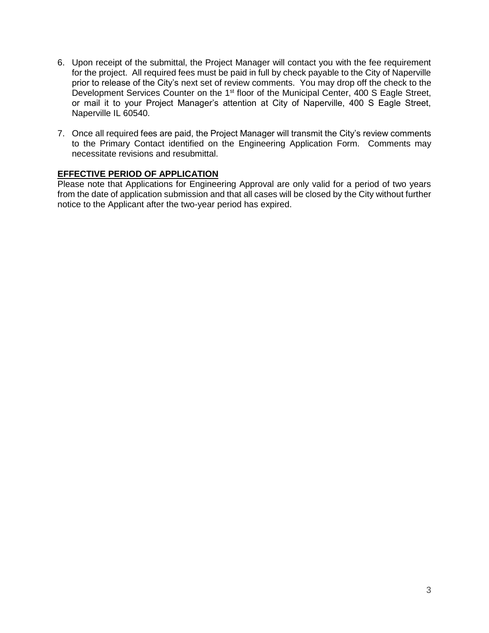- 6. Upon receipt of the submittal, the Project Manager will contact you with the fee requirement for the project. All required fees must be paid in full by check payable to the City of Naperville prior to release of the City's next set of review comments. You may drop off the check to the Development Services Counter on the 1<sup>st</sup> floor of the Municipal Center, 400 S Eagle Street, or mail it to your Project Manager's attention at City of Naperville, 400 S Eagle Street, Naperville IL 60540.
- 7. Once all required fees are paid, the Project Manager will transmit the City's review comments to the Primary Contact identified on the Engineering Application Form. Comments may necessitate revisions and resubmittal.

### **EFFECTIVE PERIOD OF APPLICATION**

Please note that Applications for Engineering Approval are only valid for a period of two years from the date of application submission and that all cases will be closed by the City without further notice to the Applicant after the two-year period has expired.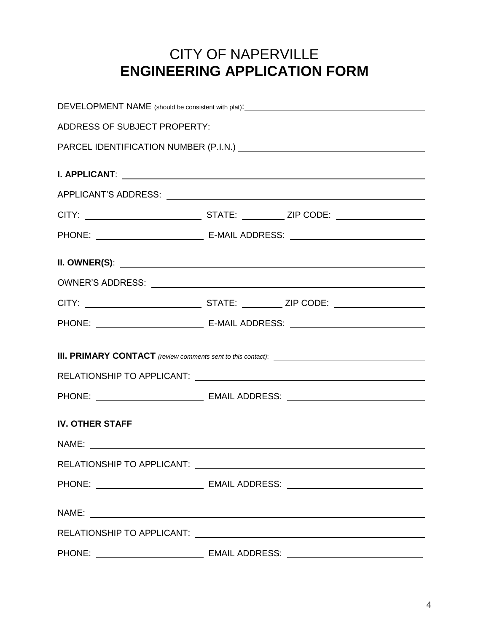### CITY OF NAPERVILLE **ENGINEERING APPLICATION FORM**

| DEVELOPMENT NAME (should be consistent with plat): \\sqrtdgs\sqrtdgs\sqrtdgs\sqrtdgs\sqrtdgs\sqrtdgs\sqrtdgs\sqrt |                                                                                                                                                                                                                                      |  |
|-------------------------------------------------------------------------------------------------------------------|--------------------------------------------------------------------------------------------------------------------------------------------------------------------------------------------------------------------------------------|--|
|                                                                                                                   |                                                                                                                                                                                                                                      |  |
|                                                                                                                   |                                                                                                                                                                                                                                      |  |
|                                                                                                                   |                                                                                                                                                                                                                                      |  |
|                                                                                                                   |                                                                                                                                                                                                                                      |  |
|                                                                                                                   |                                                                                                                                                                                                                                      |  |
|                                                                                                                   |                                                                                                                                                                                                                                      |  |
|                                                                                                                   |                                                                                                                                                                                                                                      |  |
|                                                                                                                   | II. OWNER(S): <u>New York: All Annual Account of the Community of The Community of The Community of The Community of The Community of The Community of The Community of The Community of The Community of The Community of The C</u> |  |
|                                                                                                                   |                                                                                                                                                                                                                                      |  |
|                                                                                                                   |                                                                                                                                                                                                                                      |  |
|                                                                                                                   |                                                                                                                                                                                                                                      |  |
|                                                                                                                   |                                                                                                                                                                                                                                      |  |
|                                                                                                                   |                                                                                                                                                                                                                                      |  |
|                                                                                                                   |                                                                                                                                                                                                                                      |  |
|                                                                                                                   |                                                                                                                                                                                                                                      |  |
| <b>IV. OTHER STAFF</b>                                                                                            |                                                                                                                                                                                                                                      |  |
|                                                                                                                   |                                                                                                                                                                                                                                      |  |
|                                                                                                                   |                                                                                                                                                                                                                                      |  |
|                                                                                                                   |                                                                                                                                                                                                                                      |  |
|                                                                                                                   |                                                                                                                                                                                                                                      |  |
|                                                                                                                   |                                                                                                                                                                                                                                      |  |
|                                                                                                                   |                                                                                                                                                                                                                                      |  |
|                                                                                                                   |                                                                                                                                                                                                                                      |  |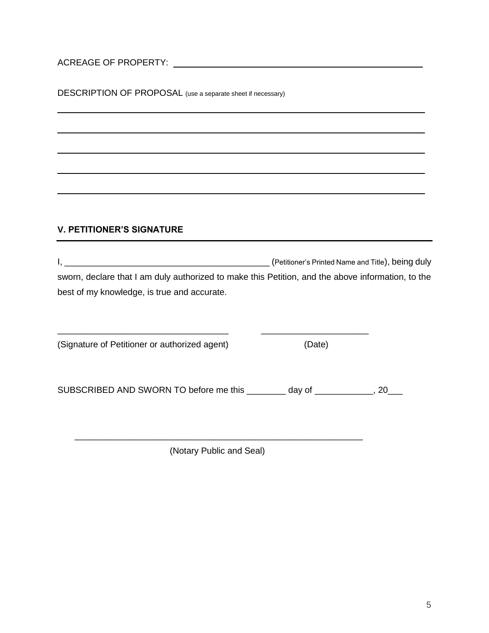ACREAGE OF PROPERTY:

DESCRIPTION OF PROPOSAL (use a separate sheet if necessary)

### **V. PETITIONER'S SIGNATURE**

I, \_\_\_\_\_\_\_\_\_\_\_\_\_\_\_\_\_\_\_\_\_\_\_\_\_\_\_\_\_\_\_\_\_\_\_\_\_\_\_\_\_\_ (Petitioner's Printed Name and Title), being duly sworn, declare that I am duly authorized to make this Petition, and the above information, to the best of my knowledge, is true and accurate.

(Signature of Petitioner or authorized agent) (Date)

SUBSCRIBED AND SWORN TO before me this \_\_\_\_\_\_\_\_ day of \_\_\_\_\_\_\_\_\_\_\_, 20\_\_\_

 $\frac{1}{2}$ 

(Notary Public and Seal)

 $\overline{\phantom{a}}$  ,  $\overline{\phantom{a}}$  ,  $\overline{\phantom{a}}$  ,  $\overline{\phantom{a}}$  ,  $\overline{\phantom{a}}$  ,  $\overline{\phantom{a}}$  ,  $\overline{\phantom{a}}$  ,  $\overline{\phantom{a}}$  ,  $\overline{\phantom{a}}$  ,  $\overline{\phantom{a}}$  ,  $\overline{\phantom{a}}$  ,  $\overline{\phantom{a}}$  ,  $\overline{\phantom{a}}$  ,  $\overline{\phantom{a}}$  ,  $\overline{\phantom{a}}$  ,  $\overline{\phantom{a}}$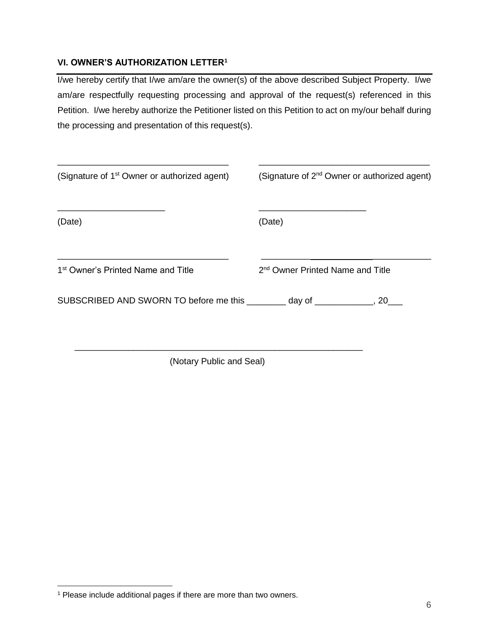### **VI. OWNER'S AUTHORIZATION LETTER<sup>1</sup>**

I/we hereby certify that I/we am/are the owner(s) of the above described Subject Property. I/we am/are respectfully requesting processing and approval of the request(s) referenced in this Petition. I/we hereby authorize the Petitioner listed on this Petition to act on my/our behalf during the processing and presentation of this request(s).

| (Signature of 1 <sup>st</sup> Owner or authorized agent)                 | (Signature of 2 <sup>nd</sup> Owner or authorized agent) |
|--------------------------------------------------------------------------|----------------------------------------------------------|
| (Date)                                                                   | (Date)                                                   |
| 1 <sup>st</sup> Owner's Printed Name and Title                           | 2 <sup>nd</sup> Owner Printed Name and Title             |
| SUBSCRIBED AND SWORN TO before me this ________ day of __________, 20___ |                                                          |
|                                                                          |                                                          |

(Notary Public and Seal)

 $\overline{a}$ <sup>1</sup> Please include additional pages if there are more than two owners.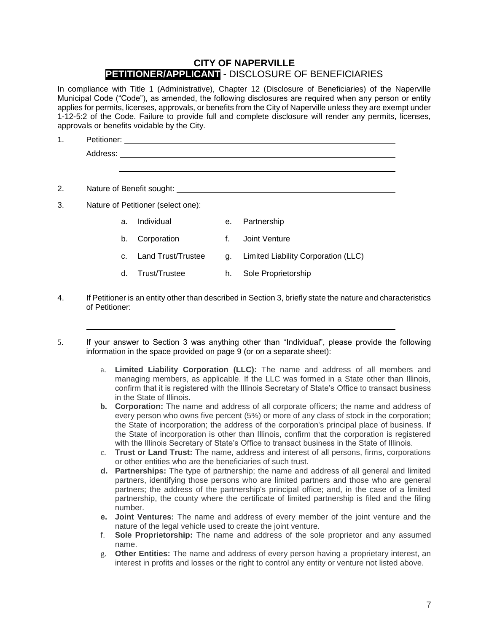### **CITY OF NAPERVILLE PETITIONER/APPLICANT** - DISCLOSURE OF BENEFICIARIES

In compliance with Title 1 (Administrative), Chapter 12 (Disclosure of Beneficiaries) of the Naperville Municipal Code ("Code"), as amended, the following disclosures are required when any person or entity applies for permits, licenses, approvals, or benefits from the City of Naperville unless they are exempt under 1-12-5:2 of the Code. Failure to provide full and complete disclosure will render any permits, licenses, approvals or benefits voidable by the City.

| 1. | Petitioner:                                                                                                                                                                                                                    |    |             |  |
|----|--------------------------------------------------------------------------------------------------------------------------------------------------------------------------------------------------------------------------------|----|-------------|--|
|    | Address: Andreas Address and Address and Address and Address and Address and Address and Address and Address and Address and Address and Address and Address and Address and Address and Address and Address and Address and A |    |             |  |
|    |                                                                                                                                                                                                                                |    |             |  |
|    |                                                                                                                                                                                                                                |    |             |  |
| 2. | Nature of Benefit sought: Nature of Benefit sought:                                                                                                                                                                            |    |             |  |
| 3. | Nature of Petitioner (select one):                                                                                                                                                                                             |    |             |  |
|    | Individual<br>a.                                                                                                                                                                                                               | е. | Partnership |  |

- b. Corporation f. Joint Venture
- c. Land Trust/Trustee g. Limited Liability Corporation (LLC)
- d. Trust/Trustee h. Sole Proprietorship
- 4. If Petitioner is an entity other than described in Section 3, briefly state the nature and characteristics of Petitioner:
- 5. If your answer to Section 3 was anything other than "Individual", please provide the following information in the space provided on page 9 (or on a separate sheet):
	- a. **Limited Liability Corporation (LLC):** The name and address of all members and managing members, as applicable. If the LLC was formed in a State other than Illinois, confirm that it is registered with the Illinois Secretary of State's Office to transact business in the State of Illinois.
	- **b. Corporation:** The name and address of all corporate officers; the name and address of every person who owns five percent (5%) or more of any class of stock in the corporation; the State of incorporation; the address of the corporation's principal place of business. If the State of incorporation is other than Illinois, confirm that the corporation is registered with the Illinois Secretary of State's Office to transact business in the State of Illinois.
	- c. **Trust or Land Trust:** The name, address and interest of all persons, firms, corporations or other entities who are the beneficiaries of such trust.
	- **d. Partnerships:** The type of partnership; the name and address of all general and limited partners, identifying those persons who are limited partners and those who are general partners; the address of the partnership's principal office; and, in the case of a limited partnership, the county where the certificate of limited partnership is filed and the filing number.
	- **e. Joint Ventures:** The name and address of every member of the joint venture and the nature of the legal vehicle used to create the joint venture.
	- f. **Sole Proprietorship:** The name and address of the sole proprietor and any assumed name.
	- g. **Other Entities:** The name and address of every person having a proprietary interest, an interest in profits and losses or the right to control any entity or venture not listed above.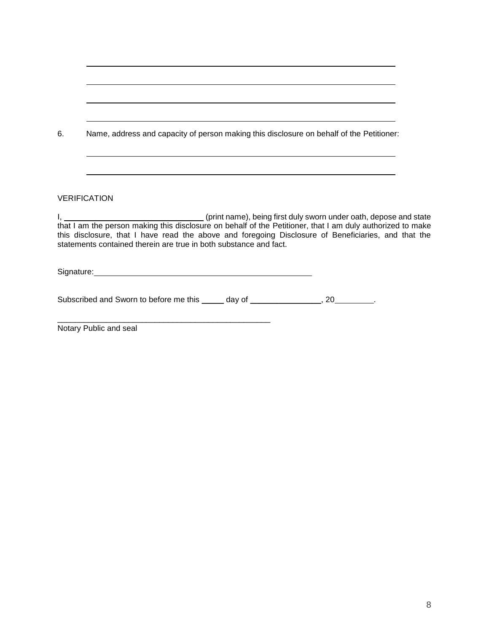| 6. | Name, address and capacity of person making this disclosure on behalf of the Petitioner:                                                                                                                                                                                                                                                                                   |
|----|----------------------------------------------------------------------------------------------------------------------------------------------------------------------------------------------------------------------------------------------------------------------------------------------------------------------------------------------------------------------------|
|    | ,我们也不能在这里的时候,我们也不能在这里的时候,我们也不能不能不能会不能会不能会不能会不能会不能会不能会不能会不能会。<br>第2012章 我们的时候,我们的时候,我们的时候,我们的时候,我们的时候,我们的时候,我们的时候,我们的时候,我们的时候,我们的时候,我们的时候,我们的时候,我<br><b>VERIFICATION</b>                                                                                                                                                                                                    |
|    | I, 1. 2008 [1] (print name), being first duly sworn under oath, depose and state<br>that I am the person making this disclosure on behalf of the Petitioner, that I am duly authorized to make<br>this disclosure, that I have read the above and foregoing Disclosure of Beneficiaries, and that the<br>statements contained therein are true in both substance and fact. |
|    | Signature: Signature: Signature: Signature: Signature: Signature: Signature: Signature: Signature: Signature: Signature: Signature: Signature: Signature: Signature: Signature: Signature: Signature: Signature: Signature: Si                                                                                                                                             |
|    | Subscribed and Sworn to before me this ______ day of ________________, 20________.                                                                                                                                                                                                                                                                                         |

Notary Public and seal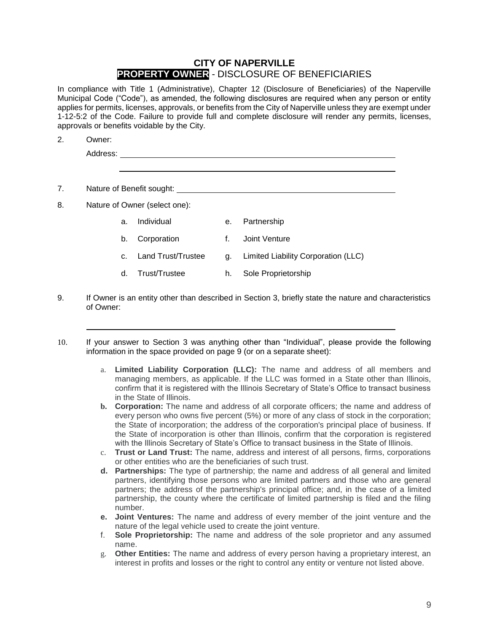### **CITY OF NAPERVILLE PROPERTY OWNER** - DISCLOSURE OF BENEFICIARIES

In compliance with Title 1 (Administrative), Chapter 12 (Disclosure of Beneficiaries) of the Naperville Municipal Code ("Code"), as amended, the following disclosures are required when any person or entity applies for permits, licenses, approvals, or benefits from the City of Naperville unless they are exempt under 1-12-5:2 of the Code. Failure to provide full and complete disclosure will render any permits, licenses, approvals or benefits voidable by the City.

| Owner: |
|--------|
|        |

7. Nature of Benefit sought: Nature 2012 19:00 Nature 2012 19:00 Nature 2012 19:00 Nature 2014 19:00 Nature 2014 19:00 Nature 2014 19:00 Nature 2014 19:00 Nature 2014 19:00 Nature 2014 19:00 Nature 2014 19:00 Nature 2014 1

8. Nature of Owner (select one):

- a. Individual e. Partnership
- b. Corporation f. Joint Venture
- c. Land Trust/Trustee g. Limited Liability Corporation (LLC)
- d. Trust/Trustee h. Sole Proprietorship
- 9. If Owner is an entity other than described in Section 3, briefly state the nature and characteristics of Owner:
- 10. If your answer to Section 3 was anything other than "Individual", please provide the following information in the space provided on page 9 (or on a separate sheet):
	- a. **Limited Liability Corporation (LLC):** The name and address of all members and managing members, as applicable. If the LLC was formed in a State other than Illinois, confirm that it is registered with the Illinois Secretary of State's Office to transact business in the State of Illinois.
	- **b. Corporation:** The name and address of all corporate officers; the name and address of every person who owns five percent (5%) or more of any class of stock in the corporation; the State of incorporation; the address of the corporation's principal place of business. If the State of incorporation is other than Illinois, confirm that the corporation is registered with the Illinois Secretary of State's Office to transact business in the State of Illinois.
	- c. **Trust or Land Trust:** The name, address and interest of all persons, firms, corporations or other entities who are the beneficiaries of such trust.
	- **d. Partnerships:** The type of partnership; the name and address of all general and limited partners, identifying those persons who are limited partners and those who are general partners; the address of the partnership's principal office; and, in the case of a limited partnership, the county where the certificate of limited partnership is filed and the filing number.
	- **e. Joint Ventures:** The name and address of every member of the joint venture and the nature of the legal vehicle used to create the joint venture.
	- f. **Sole Proprietorship:** The name and address of the sole proprietor and any assumed name.
	- g. **Other Entities:** The name and address of every person having a proprietary interest, an interest in profits and losses or the right to control any entity or venture not listed above.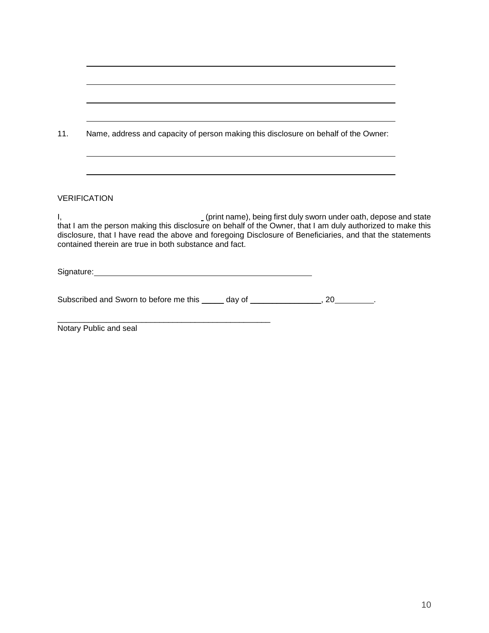| 11. | Name, address and capacity of person making this disclosure on behalf of the Owner:                                                                                                                                                                                                                                                                     |  |
|-----|---------------------------------------------------------------------------------------------------------------------------------------------------------------------------------------------------------------------------------------------------------------------------------------------------------------------------------------------------------|--|
|     |                                                                                                                                                                                                                                                                                                                                                         |  |
|     | <b>VERIFICATION</b>                                                                                                                                                                                                                                                                                                                                     |  |
| Ι,  | _(print name), being first duly sworn under oath, depose and state<br>that I am the person making this disclosure on behalf of the Owner, that I am duly authorized to make this<br>disclosure, that I have read the above and foregoing Disclosure of Beneficiaries, and that the statements<br>contained therein are true in both substance and fact. |  |
|     |                                                                                                                                                                                                                                                                                                                                                         |  |
|     | Subscribed and Sworn to before me this _____ day of ________________, 20________.                                                                                                                                                                                                                                                                       |  |
|     | Notary Public and seal                                                                                                                                                                                                                                                                                                                                  |  |